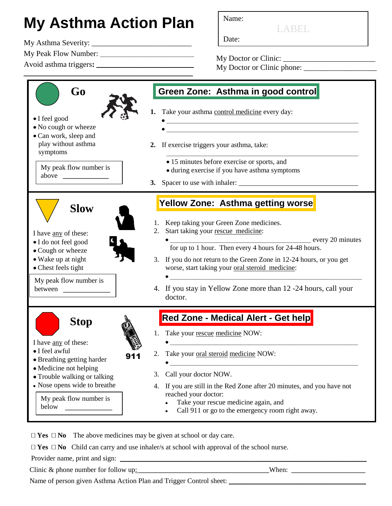## **My Asthma Action Plan** Name:

\_\_\_\_\_\_\_\_\_\_\_\_\_\_\_\_\_\_\_\_\_\_\_\_\_\_\_\_\_\_\_\_\_\_\_\_\_\_\_\_\_\_\_\_\_\_\_\_\_\_\_\_\_\_\_\_\_\_\_\_\_\_\_\_\_\_

Date: My Asthma Severity: \_\_\_\_\_\_\_\_\_\_\_\_\_\_\_\_\_\_\_\_\_\_\_\_\_\_

My Peak Flow Number: **\_\_\_\_\_\_\_\_\_\_\_\_\_\_\_\_\_\_\_\_\_\_\_\_**

Avoid asthma triggers**: \_\_\_\_\_\_\_\_\_\_\_\_\_\_\_\_\_\_\_\_\_\_\_\_\_\_\_\_\_\_\_\_\_\_\_\_\_\_**

My Doctor or Clinic: \_\_\_\_\_\_\_\_\_\_\_\_\_\_\_\_\_\_\_\_\_\_\_\_ My Doctor or Clinic phone:

LABEL



 $\Box$  **Yes**  $\Box$  **No** The above medicines may be given at school or day care.

 $\Box$  **Yes**  $\Box$  **No** Child can carry and use inhaler/s at school with approval of the school nurse.

Provider name, print and sign:

Clinic & phone number for follow up:  $\blacksquare$  When:  $\blacksquare$ 

Name of person given Asthma Action Plan and Trigger Control sheet: \_\_\_\_\_\_\_\_\_\_\_\_\_